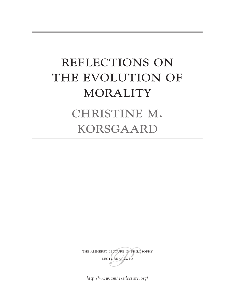# Reflections on THE EVOLUTION OF MORALITY

# CHRISTINE M. **KORSGAARD**

THE AMHERST LECTURE IN PHILOSOPHY lecture 5, 2010

*<http://www.amherstlecture.org/>*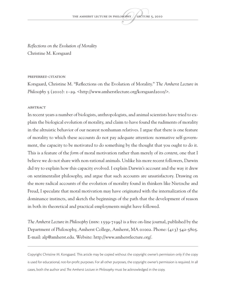*Reflections on the Evolution of Morality* Christine M. Korsgaard

#### Preferred citation

Korsgaard, Christine M. "Reflections on the Evolution of Morality." *The Amherst Lecture in Philosophy* 5 (2010): 1–29. <http://www.amherstlecture.org/korsgaard2010/>.

#### **ABSTRACT**

In recent years a number of biologists, anthropologists, and animal scientists have tried to explain the biological evolution of morality, and claim to have found the rudiments of morality in the altruistic behavior of our nearest nonhuman relatives. I argue that there is one feature of morality to which these accounts do not pay adequate attention: normative self-government, the capacity to be motivated to do something by the thought that you ought to do it. This is a feature of the *form* of moral motivation rather than merely of its *content*, one that I believe we do not share with non-rational animals. Unlike his more recent followers, Darwin did try to explain how this capacity evolved. I explain Darwin's account and the way it drew on sentimentalist philosophy, and argue that such accounts are unsatisfactory. Drawing on the more radical accounts of the evolution of morality found in thinkers like Nietzsche and Freud, I speculate that moral motivation may have originated with the internalization of the dominance instincts, and sketch the beginnings of the path that the development of reason in both its theoretical and practical employments might have followed.

*The Amherst Lecture in Philosophy* (ISSN: 1559-7199) is a free on-line journal, published by the Department of Philosophy, Amherst College, Amherst, MA 01002. Phone: (413) 542-5805. E-mail: alp@amherst.edu. Website: http://www.amherstlecture.org/.

Copyright Christine M. Korsgaard. This article may be copied without the copyright owner's permission only if the copy is used for educational, not-for-profit purposes. For all other purposes, the copyright owner's permission is required. In all cases, both the author and *The Amherst Lecture in Philosophy* must be acknowledged in the copy.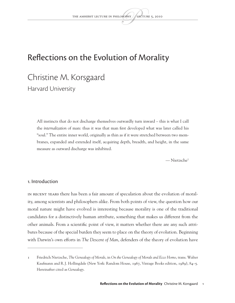### Reflections on the Evolution of Morality

## Christine M. Korsgaard

Harvard University

All instincts that do not discharge themselves outwardly turn inward – this is what I call the *internalization* of man: thus it was that man first developed what was later called his "soul." The entire inner world, originally as thin as if it were stretched between two membranes, expanded and extended itself, acquiring depth, breadth, and height, in the same measure as outward discharge was inhibited.

— Nietzsche1

#### 1. Introduction

In recent years there has been a fair amount of speculation about the evolution of morality, among scientists and philosophers alike. From both points of view, the question how our moral nature might have evolved is interesting because morality is one of the traditional candidates for a distinctively human attribute, something that makes us different from the other animals. From a scientific point of view, it matters whether there are any such attributes because of the special burden they seem to place on the theory of evolution. Beginning with Darwin's own efforts in *The Descent of Man*, defenders of the theory of evolution have

<sup>1</sup> Friedrich Nietzsche, *The Genealogy of Morals*, in *On the Genealogy of Morals and Ecce Homo*, trans. Walter Kaufmann and R.J. Hollingdale (New York: Random House, 1967, Vintage Books edition, 1989), 84–5. Hereinafter cited as *Genealogy*.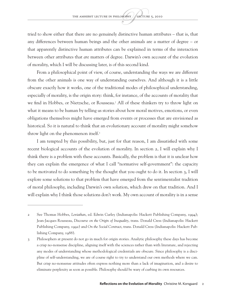tried to show either that there are no genuinely distinctive human attributes – that is, that any differences between human beings and the other animals are a matter of degree – or that apparently distinctive human attributes can be explained in terms of the interaction between other attributes that *are* matters of degree. Darwin's own account of the evolution of morality, which I will be discussing later, is of this second kind.

From a philosophical point of view, of course, understanding the ways we are different from the other animals is one way of understanding ourselves. And although it is a little obscure exactly how it works, one of the traditional modes of philosophical understanding, especially of morality, is the origin story: think, for instance, of the accounts of morality that we find in Hobbes, or Nietzsche, or Rousseau.2 All of these thinkers try to throw light on what it means to be human by telling us stories about how moral motives, emotions, or even obligations themselves might have emerged from events or processes that are envisioned as historical. So it is natural to think that an evolutionary account of morality might somehow throw light on the phenomenon itself.<sup>3</sup>

I am tempted by this possibility, but, just for that reason, I am dissatisfied with some recent biological accounts of the evolution of morality. In section 2, I will explain why I think there is a problem with these accounts. Basically, the problem is that it is unclear how they can explain the emergence of what I call "normative self-government": the capacity to be motivated to do something by the thought that you ought to do it. In section 3, I will explore some solutions to that problem that have emerged from the sentimentalist tradition of moral philosophy, including Darwin's own solution, which drew on that tradition. And I will explain why I think those solutions don't work. My own account of morality is in a sense

<sup>2</sup> See Thomas Hobbes, *Leviathan*, ed. Edwin Curley (Indianapolis: Hackett Publishing Company, 1994); Jean-Jacques Rousseau, *Discourse on the Origin of Inequality*, trans. Donald Cress (Indianapolis: Hackett Publishing Company, 1992) and *On the Social Contract*, trans. Donald Cress (Indianapolis: Hackett Publishing Company, 1988).

<sup>3</sup> Philosophers at present do not go in much for origin stories. Analytic philosophy these days has become a crisp no-nonsense discipline, aligning itself with the sciences rather than with literature, and rejecting any modes of understanding whose methodological credentials are obscure. Since philosophy is a discipline of self-understanding, we are of course right to try to understand our own methods where we can. But crisp no-nonsense attitudes often express nothing more than a lack of imagination, and a desire to eliminate perplexity as soon as possible. Philosophy should be wary of curbing its own resources.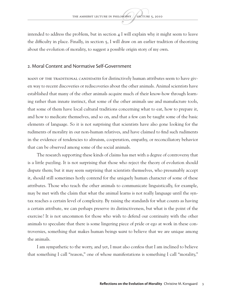intended to address the problem, but in section  $\frac{4}{1}$  will explain why it might seem to leave the difficulty in place. Finally, in section 5, I will draw on an earlier tradition of theorizing about the evolution of morality, to suggest a possible origin story of my own.

#### 2. Moral Content and Normative Self-Government

MANY OF THE TRADITIONAL CANDIDATES for distinctively human attributes seem to have given way to recent discoveries or rediscoveries about the other animals. Animal scientists have established that many of the other animals acquire much of their know-how through learning rather than innate instinct, that some of the other animals use and manufacture tools, that some of them have local cultural traditions concerning what to eat, how to prepare it, and how to medicate themselves, and so on, and that a few can be taught some of the basic elements of language. So it is not surprising that scientists have also gone looking for the rudiments of morality in our non-human relatives, and have claimed to find such rudiments in the evidence of tendencies to altruism, cooperation, empathy, or reconciliatory behavior that can be observed among some of the social animals.

The research supporting these kinds of claims has met with a degree of controversy that is a little puzzling. It is not surprising that those who reject the theory of evolution should dispute them; but it may seem surprising that scientists themselves, who presumably accept it, should still sometimes hotly contend for the uniquely human character of some of these attributes. Those who teach the other animals to communicate linguistically, for example, may be met with the claim that what the animal learns is not really language until the syntax reaches a certain level of complexity. By raising the standards for what counts as having a certain attribute, we can perhaps preserve its distinctiveness, but what is the point of the exercise? It is not uncommon for those who wish to defend our continuity with the other animals to speculate that there is some lingering piece of pride or ego at work in these controversies, something that makes human beings *want* to believe that we are unique among the animals.

I am sympathetic to the worry, and yet, I must also confess that I am inclined to believe that something I call "reason," one of whose manifestations is something I call "morality,"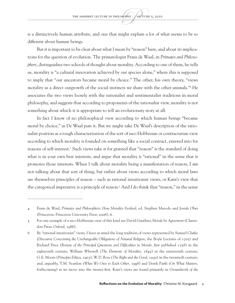is a distinctively human attribute, and one that might explain a lot of what seems to be so different about human beings.

But it is important to be clear about what I mean by "reason" here, and about its implications for the question of evolution. The primatologist Frans de Waal, in *Primates and Philosophers*, distinguishes two schools of thought about morality. According to one of them, he tells us, morality is "a cultural innovation achieved by our species alone," where this is supposed to imply that "our ancestors became moral by choice." The other, his own theory, "views morality as a direct outgrowth of the social instincts we share with the other animals."4 He associates the two views loosely with the rationalist and sentimentalist traditions in moral philosophy, and suggests that according to proponents of the rationalist view, morality is not something about which it is appropriate to tell an evolutionary story at all.

In fact I know of no philosophical view according to which human beings "became moral by choice," as De Waal puts it. But we might take De Waal's description of the rationalist position as a rough characterization of the sort of neo-Hobbesian or contractarian view according to which morality is founded on something like a social contract, entered into for reasons of self-interest.<sup>5</sup> Such views take it for granted that "reason" is the standard of doing what is in your own best interests, and argue that morality is "rational" in the sense that it promotes those interests. When I talk about morality being a manifestation of reason, I am not talking about that sort of thing, but rather about views according to which moral laws are themselves principles of reason – such as rational intuitionist views, or Kant's view that the categorical imperative is a principle of reason.6 And I do think that "reason," in the sense

<sup>4</sup> Frans de Waal, *Primates and Philosophers*: *How Morality Evolved*, ed. Stephen Macedo and Josiah Ober (Princeton: Princeton University Press: 2006), 6.

<sup>5</sup> For one example of a neo-Hobbesian view of this kind see David Gauthier, *Morals by Agreement* (Clarendon Press: Oxford, 1986).

<sup>6</sup> By "rational intuitionist" views, I have in mind the long tradition of views represented by Samuel Clarke (*Discourse Concerning the Unchangeable Obligations of Natural Religion*, the Boyle Lectures of 1705) and Richard Price (*Review of the Principal Questions and Difficulties in Morals*, first published 1758) in the eighteenth century; William Whewell (*The Elements of Morality*, 1845) in the nineteenth century; G.E. Moore (*Principia Ethica*, 1903), W.D. Ross (*The Right and the Good*, 1930) in the twentieth century; and, arguably, T.M. Scanlon (*What We Owe to Each Other*, 1998) and Derek Parfit (*On What Matters*, forthcoming) as we move into the twenty-first. Kant's views are found primarily in *Groundwork of the*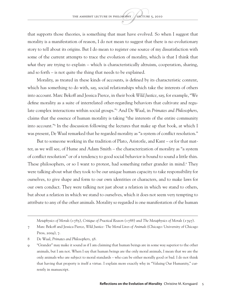that supports those theories, is something that must have evolved. So when I suggest that morality is a manifestation of reason, I do not mean to suggest that there is no evolutionary story to tell about its origins. But I do mean to register one source of my dissatisfaction with some of the current attempts to trace the evolution of morality, which is that I think that *what* they are trying to explain – which is characteristically altruism, cooperation, sharing, and so forth – is not quite the thing that needs to be explained.

Morality, as treated in these kinds of accounts, is defined by its characteristic content, which has something to do with, say, social relationships which take the interests of others into account. Marc Bekoff and Jessica Pierce, in their book *Wild Justice*, say, for example, "We define morality as a suite of interrelated other-regarding behaviors that cultivate and regulate complex interactions within social groups."7 And De Waal, in *Primates and Philosophers*, claims that the essence of human morality is taking "the interests of the entire community into account."8 In the discussion following the lectures that make up that book, at which I was present, De Waal remarked that he regarded morality as "a system of conflict resolution."

But to someone working in the tradition of Plato, Aristotle, and Kant – or for that matter, as we will see, of Hume and Adam Smith – the characterization of morality as "a system of conflict resolution" or of a tendency to good social behavior is bound to sound a little thin. These philosophers, or so I want to protest, had something rather grander in mind.<sup>9</sup> They were talking about what they took to be our unique human capacity to take responsibility for ourselves, to give shape and form to our own identities or characters, and to make laws for our own conduct. They were talking not just about a relation in which we stand to others, but about a relation in which we stand to ourselves, which it does not seem very tempting to attribute to any of the other animals. Morality so regarded is one manifestation of the human

*Metaphysics of Morals* (1785), *Critique of Practical Reason* (1788) and *The Metaphysics of Morals* (1797).

<sup>7</sup> Marc Bekoff and Jessica Pierce, *Wild Justice: The Moral Lives of Animals* (Chicago: University of Chicago Press, 2009), 7.

<sup>8</sup> De Waal, *Primates and Philosophers*, 58.

<sup>9</sup> "Grander" may make it sound as if I am claiming that human beings are in some way superior to the other animals, but I am not. When I say that human beings are the only moral animals, I mean that we are the only animals who are subject to moral standards – who can be either morally good or bad. I do not think that having that property is itself a virtue. I explain more exactly why in "Valuing Our Humanity," currently in manuscript.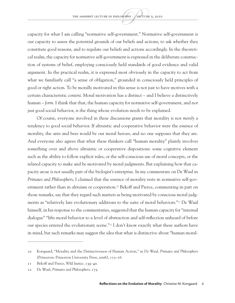capacity for what I am calling "normative self-government." Normative self-government is our capacity to assess the potential grounds of our beliefs and actions, to ask whether they constitute good reasons, and to regulate our beliefs and actions accordingly. In the theoretical realm, the capacity for normative self-government is expressed in the deliberate construction of systems of belief, employing consciously held standards of good evidence and valid argument. In the practical realm, it is expressed most obviously in the capacity to act from what we familiarly call "a sense of obligation," grounded in consciously held principles of good or right action. To be morally motivated in this sense is not just to have motives with a certain characteristic *content*. Moral motivation has a distinct – and I believe a distinctively human – *form*. I think that that, the human capacity for normative self-government, and not just good social behavior, is the thing whose evolution needs to be explained.

Of course, everyone involved in these discussions grants that morality is not *merely* a tendency to good social behavior. If altruistic and cooperative behavior were the essence of morality, the ants and bees would be our moral heroes, and no one supposes that they are. And everyone also agrees that what these thinkers call "human morality" plainly involves something over and above altruistic or cooperative dispositions: some cognitive element such as the ability to follow explicit rules, or the self-conscious use of moral concepts, or the related capacity to make and be motivated by moral judgments. But explaining how that capacity arose is not usually part of the biologist's enterprise. In my commentary on De Waal in *Primates and Philosophers*, I claimed that the essence of morality rests in normative self-government rather than in altruism or cooperation.<sup>10</sup> Bekoff and Pierce, commenting in part on those remarks, say that they regard such matters as being motivated by conscious moral judgments as "relatively late evolutionary additions to the suite of moral behaviors."11 De Waal himself, in his response to the commentaries, suggested that the human capacity for "internal dialogue" "lifts moral behavior to a level of abstraction and self-reflection unheard of before our species entered the evolutionary scene."12 I don't know exactly what these authors have in mind, but such remarks may suggest the idea that what is distinctive about "human moral-

<sup>10</sup> Korsgaard, "Morality and the Distinctiveness of Human Action," in De Waal, *Primates and Philosophers* (Princeton: Princeton University Press, 2006), 112–16.

<sup>11</sup> Bekoff and Pierce, *Wild Justice*, 139–40.

<sup>12</sup> De Waal, *Primates and Philosophers*, 175.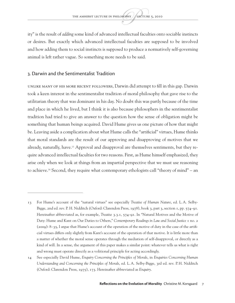ity" is the result of *adding* some kind of advanced intellectual faculties onto sociable instincts or desires. But exactly which advanced intellectual faculties are supposed to be involved and how adding them to social instincts is supposed to produce a normatively self-governing animal is left rather vague. So something more needs to be said.

#### 3. Darwin and the Sentimentalist Tradition

Unlike many of his more recent followers, Darwin did attempt to fill in this gap. Darwin took a keen interest in the sentimentalist tradition of moral philosophy that gave rise to the utilitarian theory that was dominant in his day. No doubt this was partly because of the time and place in which he lived, but I think it is also because philosophers in the sentimentalist tradition had tried to give an answer to the question how the sense of obligation might be something that human beings acquired. David Hume gives us one picture of how that might be. Leaving aside a complication about what Hume calls the "artificial" virtues, Hume thinks that moral standards are the result of our approving and disapproving of motives that we already, naturally, have.13 Approval and disapproval are themselves sentiments, but they require advanced intellectual faculties for two reasons. First, as Hume himself emphasized, they arise only when we look at things from an impartial perspective that we must use reasoning to achieve.14 Second, they require what contemporary ethologists call "theory of mind" – an

<sup>13</sup> For Hume's account of the "natural virtues" see especially *Treatise of Human Nature*, ed. L.A. Selby-Bigge, 2nd ed. rev. P. H. Nidditch (Oxford: Clarendon Press, 1978), book 3, part 3, section 1, pp. 574–91. Hereinafter abbreviated as, for example, *Treatise* 3.3.1, 574–91. In "Natural Motives and the Motive of Duty: Hume and Kant on Our Duties to Others," *Contemporary Readings in Law and Social Justice* 1 no. 2 (2009): 8–35, I argue that Hume's account of the operation of the motive of duty in the case of the artificial virtues differs only slightly from Kant's account of the operation of that motive. It is little more than a matter of whether the moral sense operates through the mediation of self-disapproval, or directly as a kind of will. In a sense, the argument of this paper makes a similar point: whatever tells us what is right and wrong must operate directly as a volitional principle for acting accordingly.

<sup>14</sup> See especially David Hume, *Enquiry Concerning the Principles of Morals*, in *Enquiries Concerning Human Understanding and Concerning the Principles of Morals*, ed. L.A. Selby-Bigge, 3rd ed. rev. P.H. Nidditch (Oxford: Clarendon Press, 1975), 173. Hereinafter abbreviated as *Enquiry*.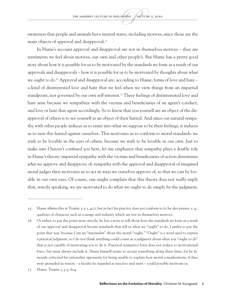awareness that people and animals have mental states, including motives, since those are the main objects of approval and disapproval.<sup>15</sup>

In Hume's account approval and disapproval are not in themselves motives – they are sentiments we feel about motives, our own and other people's. But Hume has a pretty good story about how it is possible for us to be motivated by the standards we form as a result of our approvals and disapprovals – how it is possible for us to be motivated by thoughts about what we ought to do.<sup>16</sup> Approval and disapproval are, according to Hume, forms of love and hate – a kind of disinterested love and hate that we feel when we view things from an impartial standpoint, not governed by our own self-interest.17 These feelings of distinterested love and hate arise because we sympathize with the victims and beneficiaries of an agent's conduct, and love or hate that agent accordingly. So to know that you yourself are an object of the disapproval of others is to see yourself as an object of their hatred. And since our natural sympathy with other people induces us to enter into what we suppose to be their feelings, it induces us to turn this hatred against ourselves. This motivates us to conform to moral standards: we wish to be lovable in the eyes of others, because we wish to be lovable in our own. Just to make sure I haven't confused you here, let me emphasize that sympathy plays a double role in Hume's theory: impartial sympathy with the victims and beneficiaries of action determines *what* we approve and disapprove of; sympathy with the approval and disapproval of imagined moral judges then motivates us to act in ways we ourselves approve of, so that we can be lovable in our own eyes. Of course, one might complain that this theory does not really imply that, strictly speaking, we are motivated to do what we ought to do simply by the judgment,

<sup>15</sup> Hume affirms this at *Treatise* 3.2.1, 477, but in fact his practice does not conform to it; he also praises, e. g., qualities of character such as courage and industry which are not in themselves motives.

<sup>16</sup> Or rather, to put the point more strictly, he has a story to tell about how the standards we form as a result of our approval and disapproval *become* standards that tell us what we "ought" to do. I prefer to put the point that way, because I am an "internalist" about the moral "ought." "Ought" is a word used to express a *practical* judgment, so I do not think anything could count as a judgment about what you "ought to do" that is not capable of motivating you to do it. Practical normative force does not reduce to motivational force, but must always include it. Hume himself seems to accept something along these lines, for he famously criticized his rationalist opponents for being unable to explain how moral considerations, if they were grounded in reason – a faculty he regarded as inactive and inert – could possibly motivate us.

<sup>17</sup> Hume, *Treatise* 3.3.5, 614.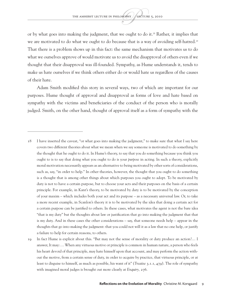or by what goes into making the judgment, that we ought to do it.<sup>18</sup> Rather, it implies that we are motivated to do what we ought to do because that is a way of avoiding self-hatred.<sup>19</sup> That there is a problem shows up in this fact: the same mechanism that motivates us to do what we ourselves approve of would motivate us to avoid the disapproval of others even if we thought that their disapproval was ill-founded. Sympathy, as Hume understands it, tends to make us hate ourselves if we think others either do or would hate us regardless of the causes of their hate.

Adam Smith modified this story in several ways, two of which are important for our purposes. Hume thought of approval and disapproval as forms of love and hate based on sympathy with the victims and beneficiaries of the conduct of the person who is morally judged. Smith, on the other hand, thought of approval itself as a form of sympathy with the

<sup>18</sup> I have inserted the caveat, "or what goes into making the judgment," to make sure that what I say here covers two different theories about what we mean when we say someone is motivated to do something by the thought that he ought to do it. In Hume's theory, to say that you do something because you think you ought to is to say that doing what you ought to do is your *purpose* in acting. In such a theory, explicitly moral motivation necessarily appears as an alternative to being motivated by other sorts of considerations, such as, say, "in order to help." In other theories, however, the thought that you ought to do something is a thought that is among other things about which purposes you ought to adopt. To be motivated by duty is not to have a certain purpose, but to choose your acts and their purposes on the basis of a certain principle. For example, in Kant's theory, to be motivated by duty is to be motivated by the conception of your maxim – which includes both your act and its purpose – as a necessary universal law. Or, to take a more recent example, in Scanlon's theory it is to be motivated by the idea that doing a certain act for a certain purpose can be justified to others. In these cases, what motivates the agent is not the bare idea "that is my duty" but the thoughts about law or justification that go into making the judgment that that is my duty. And in these cases the other considerations – say, that someone needs help – appear in the thoughts that go into making the judgment: that you could not will it as a law that no one help, or justify a failure to help for certain reasons, to others.

<sup>19</sup> In fact Hume is explicit about this. "But may not the sense of morality or duty produce an action?… I answer, It may:… When any virtuous motive or principle is common in human nature, a person who feels his heart devoid of that principle, may hate himself upon that account, and may perform the action without the motive, from a certain sense of duty, in order to acquire by practice, that virtuous principle, or at least to disguise to himself, as much as possible, his want of it" (*Treatise* 3.1.1, 479). The role of sympathy with imagined moral judges is brought out more clearly at *Enquiry,* 276.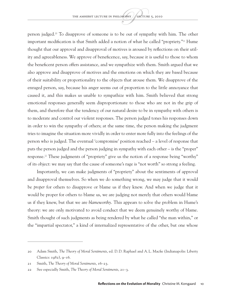person judged.20 To disapprove of someone is to be out of sympathy with him. The other important modification is that Smith added a notion of what he called "propriety."<sup>21</sup> Hume thought that our approval and disapproval of motives is aroused by reflections on their utility and agreeableness. We approve of beneficence, say, because it is useful to those to whom the beneficent person offers assistance, and we sympathize with them. Smith argued that we also approve and disapprove of motives and the emotions on which they are based because of their suitability or proportionality to the objects that arouse them. We disapprove of the enraged person, say, because his anger seems out of proportion to the little annoyance that caused it, and this makes us unable to sympathize with him. Smith believed that strong emotional responses generally seem disproportionate to those who are not in the grip of them, and therefore that the tendency of our natural desire to be in sympathy with others is to moderate and control our violent responses. The person judged tones his responses down in order to win the sympathy of others; at the same time, the person making the judgment tries to imagine the situation more vividly in order to enter more fully into the feelings of the person who is judged. The eventual 'compromise' position reached – a level of response that puts the person judged and the person judging in sympathy with each other – is the "proper" response.22 These judgments of "propriety" give us the notion of a response being "worthy" of its object: we may say that the cause of someone's rage is "not worth" so strong a feeling.

Importantly, we can make judgments of "propriety" about the sentiments of approval and disapproval themselves. So when we do something wrong, we may judge that it would be *proper* for others to disapprove or blame us if they knew. And when we judge that it would be proper for others to blame us, we are judging not merely that others would blame us if they knew, but that we are *blameworthy*. This appears to solve the problem in Hume's theory: we are only motivated to avoid conduct that we deem genuinely worthy of blame. Smith thought of such judgments as being rendered by what he called "the man within," or the "impartial spectator," a kind of internalized representative of the other, but one whose

<sup>20</sup> Adam Smith, *The Theory of Moral Sentiments*, ed. D.D. Raphael and A.L. Macfie (Indianapolis: Liberty Classics:  $1982$ ,  $9-16$ .

<sup>21</sup> Smith, *The Theory of Moral Sentiments*, 16–23.

<sup>22</sup> See especially Smith, *The Theory of Moral Sentiments*, 21–3.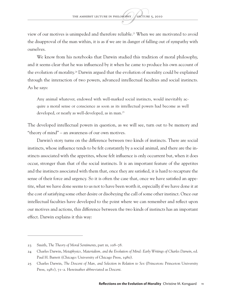view of our motives is unimpeded and therefore reliable.23 When we are motivated to avoid the disapproval of the man within, it is as if we are in danger of falling out of sympathy with ourselves.

We know from his notebooks that Darwin studied this tradition of moral philosophy, and it seems clear that he was influenced by it when he came to produce his own account of the evolution of morality.24 Darwin argued that the evolution of morality could be explained through the interaction of two powers, advanced intellectual faculties and social instincts. As he says:

Any animal whatever, endowed with well-marked social instincts, would inevitably acquire a moral sense or conscience as soon as its intellectual powers had become as well developed, or nearly as well-developed, as in man.<sup>25</sup>

The developed intellectual powers in question, as we will see, turn out to be memory and "theory of mind" – an awareness of our own motives.

Darwin's story turns on the difference between two kinds of instincts. There are social instincts, whose influence tends to be felt constantly by a social animal, and there are the instincts associated with the appetites, whose felt influence is only occurrent but, when it does occur, stronger than that of the social instincts. It is an important feature of the appetites and the instincts associated with them that, once they are satisfied, it is hard to recapture the sense of their force and urgency. So it is often the case that, once we have satisfied an appetite, what we have done seems to us not to have been worth it, especially if we have done it at the cost of satisfying some other desire or disobeying the call of some other instinct. Once our intellectual faculties have developed to the point where we can remember and reflect upon our motives and actions, this difference between the two kinds of instincts has an important effect. Darwin explains it this way:

<sup>23</sup> Smith, *The Theory of Moral Sentiments*, part III, 108–78.

<sup>24</sup> Charles Darwin, *Metaphysics, Materialism, and the Evolution of Mind: Early Writings of Charles Darwin*, ed. Paul H. Barrett (Chicago: University of Chicago Press, 1980).

<sup>25</sup> Charles Darwin, *The Descent of Man, and Selection in Relation to Sex* (Princeton: Princeton University Press, 1981), 71–2. Hereinafter abbreviated as *Descent*.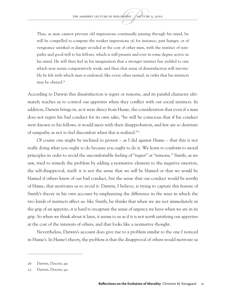Thus, as man cannot prevent old impressions continually passing through his mind, he will be compelled to compare the weaker impressions of, for instance, past hunger, or of vengeance satisfied or danger avoided at the cost of other men, with the instinct of sympathy and good-will to his fellows, which is still present and ever in some degree active in his mind. He will then feel in his imagination that a stronger instinct has yielded to one which now seems comparatively weak; and then that sense of dissatisfaction will inevitably be felt with which man is endowed, like every other animal, in order that his instincts may be obeyed.<sup>26</sup>

According to Darwin this dissatisfaction is regret or remorse, and its painful character ultimately teaches us to control our appetites when they conflict with our social instincts. In addition, Darwin brings in, as it were direct from Hume, the consideration that even if a man does not regret his bad conduct for its own sake, "he will be conscious that if his conduct were known to his fellows, it would meet with their disapprobation, and few are so destitute of sympathy as not to feel discomfort when this is realized."27

Of course one might be inclined to protest – as I did against Hume – that this is not really doing what you ought to do because you ought to do it. We learn to conform to moral principles in order to avoid the uncomfortable feeling of "regret" or "remorse." Smith, as we saw, tried to remedy the problem by adding a normative element to the negative emotion, the self-disapproval, itself: it is not the sense that we *will* be blamed or that we *would* be blamed if others knew of our bad conduct, but the sense that our conduct would be *worthy* of blame, that motivates us to avoid it. Darwin, I believe, is trying to capture this feature of Smith's theory in his own account by emphasizing the difference in the ways in which the two kinds of instincts affect us: like Smith, he thinks that when we are not immediately in the grip of an appetite, it is hard to recapture the sense of urgency we have when we *are* in its grip. So when we think about it later, it seems to us as if it is not *worth* satisfying our appetites at the cost of the interests of others, and that looks like a normative thought.

Nevertheless, Darwin's account does give rise to a problem similar to the one I noticed in Hume's. In Hume's theory, the problem is that the disapproval of others would motivate us

<sup>26</sup> Darwin, *Descent*, 90.

<sup>27</sup> Darwin, *Descent*, 92.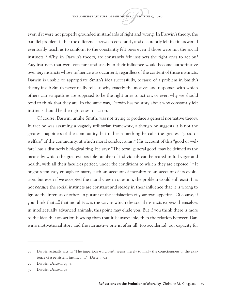even if it were not properly grounded in standards of right and wrong. In Darwin's theory, the parallel problem is that the difference between constantly and occurently felt instincts would eventually teach us to conform to the constantly felt ones even if those were not the social instincts.<sup>28</sup> Why, in Darwin's theory, are constantly felt instincts the right ones to act on? *Any* instincts that were constant and steady in their influence would become authoritative over *any* instincts whose influence was occurrent, regardless of the content of those instincts. Darwin is unable to appropriate Smith's idea successfully, because of a problem in Smith's theory itself: Smith never really tells us why exactly the motives and responses with which others can sympathize are supposed to be the right ones to act on, or even why we should tend to think that they are. In the same way, Darwin has no story about why constantly felt instincts should be the right ones to act on.

Of course, Darwin, unlike Smith, was not trying to produce a general normative theory. In fact he was assuming a vaguely utilitarian framework, although he suggests it is not the greatest happiness of the community, but rather something he calls the greatest "good or welfare" of the community, at which moral conduct aims.29 His account of this "good or welfare" has a distinctly biological ring. He says: "The term, general good, may be defined as the means by which the greatest possible number of individuals can be reared in full vigor and health, with all their faculties perfect, under the conditions to which they are exposed."30 It might seem easy enough to marry such an account of morality to an account of its evolution, but even if we accepted the moral view in question, the problem would still exist. It is not *because* the social instincts are constant and steady in their influence that it is wrong to ignore the interests of others in pursuit of the satisfaction of your own appetites. Of course, if you think that *all* that morality *is* is the way in which the social instincts express themselves in intellectually advanced animals, this point may elude you. But if you think there is more to the idea that an action is wrong than that it is unsociable, then the relation between Darwin's motivational story and the normative one is, after all, too accidental: our capacity for

<sup>28</sup> Darwin actually says it: "The imperious word *ought* seems merely to imply the consciousness of the existence of a persistent instinct…." (*Descent*, 92).

<sup>29</sup> Darwin, *Descent*, 97–8.

<sup>30</sup> Darwin, *Descent*, 98.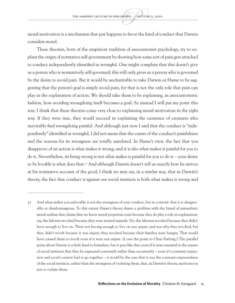moral motivation is a mechanism that just happens to favor the kind of conduct that Darwin considers moral.

These theories, born of the empiricist tradition of associationist psychology, try to explain the origin of normative self-government by showing how some sort of pain gets attached to conduct independently identified as wrongful. One might complain that this doesn't give us a person who is normatively self-governed; this still only gives us a person who is governed by the desire to avoid pain. But it would be uncharitable to take Darwin or Hume to be suggesting that the person's *goal* is simply avoid pain, for that is not the only role that pain can play in the explanation of action. We should take them to be explaining, in associationistic fashion, how avoiding wrongdoing itself becomes a goal. So instead I will put my point this way. I think that these theories come very close to explaining moral motivation in the right way. If they were true, they would succeed in explaining the existence of creatures who inevitably find wrongdoing painful. And although just now I said that the conduct is "independently" identified as wrongful, I did not mean that the causes of the conduct's painfulness and the reasons for its wrongness are totally unrelated. In Hume's view, the fact that you disapprove of an action is what makes it wrong, and it is also what makes it painful for you to do it. Nevertheless, its being wrong is not what makes it painful for you to do it – your desire to be lovable is what does that.31 And although Darwin doesn't tell us exactly how he arrives at his normative account of the good, I think we may say, in a similar way, that in Darwin's theory, the fact that conduct is against our social instincts is both what makes it wrong and

<sup>31</sup> And what makes you unlovable is not the wrongness of your conduct, but its content: that it is disagreeable or disadvantageous. To this extent Hume's theory shares a problem with the brand of naturalistic moral realism that claims that we know moral properties exist because they do play a role in explanation: say, the laborers revolted because they were treated unjustly. No: the laborers revolted because they didn't have enough to live on. Their not having enough to live on was unjust, and was why they revolted, but they didn't revolt because it was unjust; they revolted because their families were hungry. That would have caused them to revolt even if it were not unjust. (I owe the point to Chris Furlong.) The parallel point about Darwin is a little hard to formulate, but it goes like this: even if it were essential to the nature of social instincts that they be expressed constantly rather than occurrently – even if a constant expression and social content had to go together – it would be the case that it was the constant-expressedness of the social instincts, rather than the wrongness of violating them, that, in Darwin's theory, motivates us not to violate them.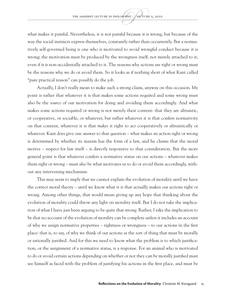what makes it painful. Nevertheless, it is not painful because it is wrong, but because of the way the social instincts express themselves, constantly rather than occurrently. But a normatively self-governed being is one who is motivated to avoid wrongful conduct because it is wrong; the motivation must be produced by the wrongness itself, not merely attached to it, even if it is non-accidentally attached to it. The reasons why actions are right or wrong must be the reasons why we do or avoid them. So it looks as if nothing short of what Kant called "pure practical reason" can possibly do the job.

Actually, I don't really mean to make such a strong claim, anyway on this occasion. My point is rather that whatever it is that makes some actions required and some wrong must also be the *source* of our motivation for doing and avoiding them accordingly. And what makes some actions required or wrong is not merely their content: that they are altruistic, or cooperative, or sociable, or whatever, but rather whatever it is that confers normativity on that content, whatever it is that *makes* it right to act cooperatively or altruistically or whatever. Kant does give one answer to that question – what makes an action right or wrong is determined by whether its maxim has the form of a law, and he claims that the moral motive – respect for law itself – is directly responsive to that consideration. But the more general point is that whatever confers a normative status on our actions – whatever makes them right or wrong – must also be what motivates us to do or avoid them accordingly, without any intervening mechanism.

This may seem to imply that we cannot explain the evolution of morality until we have the correct moral theory – until we know what it is that actually makes our actions right or wrong. Among other things, that would mean giving up any hope that thinking about the evolution of morality could throw any light on morality itself. But I do not take the implication of what I have just been arguing to be quite that strong. Rather, I take the implication to be that no account of the evolution of morality can be complete unless it includes an account of why we assign normative properties – rightness or wrongness – to our actions in the first place: that is, to say, of why we think of our actions as the sort of thing that must be morally or rationally justified. And for this we need to know what the problem is to which justification, or the assignment of a normative status, is a response. For an animal who is motivated to do or avoid certain actions depending on whether or not they can be morally justified must see himself as faced with the problem of justifying his actions in the first place, and must be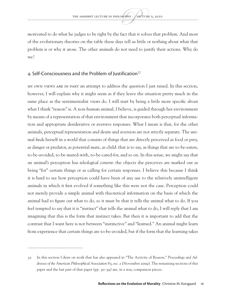motivated to do what he judges to be right by the fact that it solves that problem. And most of the evolutionary theories on the table these days tell us little or nothing about what that problem is or why it arose. The other animals do not need to justify their actions. Why do we?

#### 4. Self-Consciousness and the Problem of Justification<sup>32</sup>

My own views are in part an attempt to address the question I just raised. In this section, however, I will explain why it might seem as if they leave the situation pretty much in the same place as the sentimentalist views do. I will start by being a little more specific about what I think "reason" is. A non-human animal, I believe, is guided through her environment by means of a representation of that environment that incorporates both perceptual information and appropriate desiderative or aversive responses. What I mean is that, for the other animals, perceptual representation and desire and aversion are not strictly separate. The animal finds herself in a world that consists of things that are directly perceived *as* food or prey, *as* danger or predator, *as* potential mate, *as* child: that is to say, as things that are to-be-eaten, to-be-avoided, to-be-mated-with, to-be-cared-for, and so on. In this sense, we might say that an animal's perception has *teleological content*: the objects she perceives are marked out as being "for" certain things or as calling for certain responses. I believe this because I think it is hard to see how perception could have been of any use to the relatively unintelligent animals in which it first evolved if something like this were not the case. Perception could not merely provide a simple animal with theoretical information on the basis of which the animal had to figure out what to do, so it must be that it tells the animal what to do. If you feel tempted to say that it is "instinct" that tells the animal what to do, I will reply that I am imagining that this is the form that instinct takes. But then it is important to add that the contrast that I want here is not between "instinctive" and "learned." An animal might learn from experience that certain things are to-be-avoided, but if the form that the learning takes

<sup>32</sup> In this section I draw on work that has also appeared in "The Activity of Reason," *Proceedings and Addresses of the American Philosophical Association* 83, no. 2 (November 2009). The remaining sections of this paper and the last part of that paper (pp. 30–39) are, in a way, companion pieces.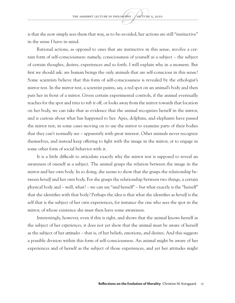is that she now simply sees them that way, as to-be-avoided, her actions are still "instinctive" in the sense I have in mind.

Rational actions, as opposed to ones that are instinctive in this sense, involve a certain form of self-consciousness: namely, consciousness of yourself as a subject – the subject of certain thoughts, desires, experiences and so forth. I will explain why in a moment. But first we should ask: are human beings the only animals that are self-conscious in this sense? Some scientists believe that this form of self-consciousness is revealed by the ethologist's mirror test. In the mirror test, a scientist paints, say, a red spot on an animal's body and then puts her in front of a mirror. Given certain experimental controls, if the animal eventually reaches for the spot and tries to rub it off, or looks away from the mirror towards that location on her body, we can take that as evidence that the animal recognizes herself in the mirror, and is curious about what has happened to her. Apes, dolphins, and elephants have passed the mirror test, in some cases moving on to use the mirror to examine parts of their bodies that they can't normally see – apparently with great interest. Other animals never recognize themselves, and instead keep offering to fight with the image in the mirror, or to engage in some other form of social behavior with it.

It is a little difficult to articulate exactly why the mirror test is supposed to reveal an awareness of oneself as a subject. The animal grasps the relation between the image in the mirror and her own body. In so doing, she seems to show that she grasps the relationship between *herself* and her own body. For she grasps the relationship between two things, a certain physical body and – well, what? – we can say "and herself" – but what exactly is the "herself" that she identifies with that body? Perhaps the idea is that what she identifies as *herself* is the self that is the subject of her own experiences, for instance the one who sees the spot in the mirror, of whose existence she must then have some awareness.

Interestingly, however, even if this is right, and shows that the animal knows herself as the subject of her *experiences*, it does not yet show that the animal must be aware of herself as the subject of her *attitudes* – that is, of her beliefs, emotions, and desires. And this suggests a possible division within this form of self-consciousness. An animal might be aware of her experiences and of herself as the subject of those experiences, and yet her attitudes might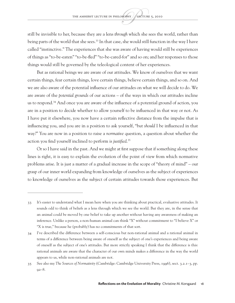still be invisible to her, because they are a lens *through* which she sees the world, rather than being parts of the world that she sees.<sup>33</sup> In that case, she would still function in the way I have called "instinctive." The experiences that she was aware of having would still be experiences of things as "to-be-eaten" "to-be-fled" "to-be-cared-for" and so on; and her responses to those things would still be governed by the teleological content of her experiences.

But as rational beings we are aware of our attitudes. We know of ourselves that we want certain things, fear certain things, love certain things, believe certain things, and so on. And we are also aware of the potential influence of our attitudes on what we will decide to do. We are aware of the *potential grounds* of our actions – of the ways in which our attitudes incline us to respond.<sup>34</sup> And once you are aware of the influence of a potential ground of action, you are in a position to decide whether to allow yourself to be influenced in that way or not. As I have put it elsewhere, you now have a certain reflective distance from the impulse that is influencing you, and you are in a position to ask yourself, "but *should* I be influenced in that way?" You are now in a position to raise a *normative* question, a question about whether the action you find yourself inclined to perform is *justified*. 35

Or so I have said in the past. And we might at first suppose that if something along these lines is right, it is easy to explain the evolution of the point of view from which normative problems arise. It is just a matter of a gradual increase in the scope of "theory of mind" – our grasp of our inner world expanding from knowledge of ourselves as the subject of experiences to knowledge of ourselves as the subject of certain attitudes towards those experiences. But

<sup>33</sup> It's easier to understand what I mean here when you are thinking about practical, evaluative attitudes. It sounds odd to think of beliefs as a lens through which we see the world. But they are, in the sense that an animal could be moved by one belief to take up another without having any awareness of making an inference. Unlike a person, a non-human animal can think "X" without commitment to "I believe X" or "X is true," because he (probably) has no commitments of that sort.

<sup>34</sup> I've described the difference between a self-conscious but non-rational animal and a rational animal in terms of a difference between being aware of oneself as the subject of one's experiences and being aware of oneself as the subject of one's attitudes. But more strictly speaking I think that the difference is this: rational animals are aware that the character of our own minds makes a difference in the way the world appears to us, while non-rational animals are not.

<sup>35</sup> See also my *The Sources of Normativity* (Cambridge: Cambridge University Press, 1996), sect. 3.2.1–3, pp.  $92 - 8.$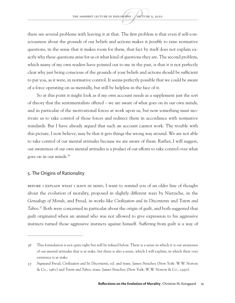there are several problems with leaving it at that. The first problem is that even if self-consciousness about the grounds of our beliefs and actions makes it *possible* to raise normative questions, in the sense that it makes room for them, that fact by itself does not explain exactly why these questions arise for us or what kind of questions they are. The second problem, which many of my own readers have pointed out to me in the past, is that it is not perfectly clear why just being conscious of the grounds of your beliefs and actions should be sufficient to put you, as it were, in normative control. It seems perfectly possible that we could be aware of a force operating on us mentally, but still be helpless in the face of it.

So at this point it might look as if my own account needs as a supplement just the sort of theory that the sentimentalists offered – we are aware of what goes on in our own minds, and in particular of the motivational forces at work upon us, but now something must motivate us to take control of those forces and redirect them in accordance with normative standards. But I have already argued that such an account cannot work. The trouble with this picture, I now believe, may be that it gets things the wrong way around. We are not able to take control of our mental attitudes because we are aware of them. Rather, I will suggest, our awareness of our own mental attitudes is a *product* of our efforts to take control over what goes on in our minds.36

#### 5. The Origins of Rationality

Before I explain what I have in mind, I want to remind you of an older line of thought about the evolution of morality, proposed in slightly different ways by Nietzsche, in the *Genealogy of Morals*, and Freud, in works like *Civilization and its Discontents* and *Totem and Taboo*. 37 Both were concerned in particular about the origin of guilt, and both suggested that guilt originated when an animal who was not allowed to give expression to his aggressive instincts turned those aggressive instincts against himself. Suffering from guilt is a way of

<sup>36</sup> This formulation is not quite right but will be refined below. There is a sense in which it is our awareness of our mental attitudes that is at stake, but there is also a sense, which I will explain, in which their very existence is at stake.

<sup>37</sup> Sigmund Freud, *Civilization and Its Discontents*, ed. and trans. James Strachey (New York: W.W. Norton & Co., 1961) and *Totem and Taboo*, trans. James Strachey (New York: W.W. Norton & Co., 1950).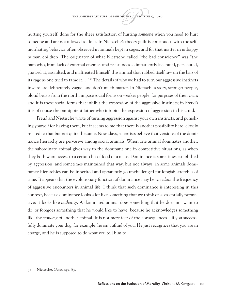hurting yourself, done for the sheer satisfaction of hurting *someone* when you need to hurt someone and are not allowed to do it. In Nietzsche's theory guilt is continuous with the selfmutiliating behavior often observed in animals kept in cages, and for that matter in unhappy human children. The originator of what Nietzsche called "the bad conscience" was "the man who, from lack of external enemies and resistances…impatiently lacerated, persecuted, gnawed at, assaulted, and maltreated himself; this animal that rubbed itself raw on the bars of its cage as one tried to tame it.…"38 The details of why we had to turn our aggressive instincts inward are deliberately vague, and don't much matter. In Nietzsche's story, stronger people, blond beasts from the north, impose social forms on weaker people, for purposes of their own; and it is these social forms that inhibit the expression of the aggressive instincts; in Freud's it is of course the omnipotent father who inhibits the expression of aggression in his child.

Freud and Nietzsche wrote of turning aggression against your own instincts, and punishing yourself for having them, but it seems to me that there is another possibility here, closely related to that but not quite the same. Nowadays, scientists believe that versions of the dominance hierarchy are pervasive among social animals. When one animal dominates another, the subordinate animal gives way to the dominant one in competitive situations, as when they both want access to a certain bit of food or a mate. Dominance is sometimes established by aggression, and sometimes maintained that way, but not always: in some animals dominance hierarchies can be inherited and apparently go unchallenged for longish stretches of time. It appears that the evolutionary function of dominance may be to *reduce* the frequency of aggressive encounters in animal life. I think that such dominance is interesting in this context, because dominance looks a lot like something that we think of as essentially normative: it looks like *authority*. A dominated animal does something that he does not want to do, or foregoes something that he would like to have, because he acknowledges something like the *standing* of another animal. It is not mere fear of the consequences – if you successfully dominate your dog, for example, he isn't afraid of you. He just recognizes that you are in charge, and he is supposed to do what you tell him to.

<sup>38</sup> Nietzsche, *Genealogy,* 85.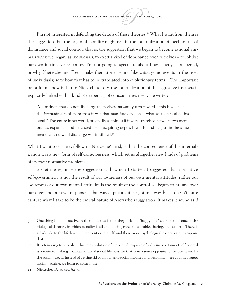I'm not interested in defending the details of these theories.<sup>39</sup> What I want from them is the suggestion that the origin of morality might rest in the internalization of mechanisms of dominance and social control: that is, the suggestion that we began to become rational animals when we began, as individuals, to exert a kind of dominance over ourselves – to inhibit our own instinctive responses. I'm not going to speculate about how exactly it happened, or why. Nietzsche and Freud make their stories sound like cataclysmic events in the lives of individuals; somehow that has to be translated into evolutionary terms.40 The important point for me now is that in Nietzsche's story, the internalization of the aggressive instincts is explicitly linked with a kind of deepening of consciousness itself. He writes:

All instincts that do not discharge themselves outwardly turn inward – this is what I call the *internalization* of man: thus it was that man first developed what was later called his "soul." The entire inner world, originally as thin as if it were stretched between two membranes, expanded and extended itself, acquiring depth, breadth, and height, in the same measure as outward discharge was inhibited.41

What I want to suggest, following Nietzsche's lead, is that the consequence of this internalization was a new form of self-consciousness, which set us altogether new kinds of problems of its own: normative problems.

So let me rephrase the suggestion with which I started. I suggested that normative self-government is not the result of our awareness of our own mental attitudes; rather our awareness of our own mental attitudes is the result of the control we began to assume over ourselves and our own responses. That way of putting it is right in a way, but it doesn't quite capture what I take to be the radical nature of Nietzsche's suggestion. It makes it sound as if

<sup>39</sup> One thing I find attractive in these theories is that they lack the "happy talk" character of some of the biological theories, in which morality is all about being nice and sociable, sharing, and so forth. There is a dark side to the life lived in judgment on the self, and these more psychological theories aim to capture that.

<sup>40</sup> It is tempting to speculate that the evolution of individuals capable of a distinctive form of self-control is a route to making complex forms of social life possible that is in a sense opposite to the one taken by the social insects. Instead of getting rid of all our anti-social impulses and becoming mere cogs in a larger social machine, we learn to control them.

<sup>41</sup> Nietzsche, *Genealogy*, 84–5.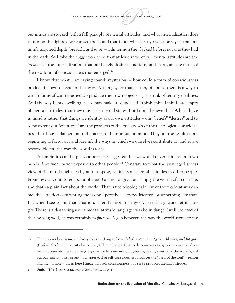our minds are stocked with a full panoply of mental attitudes, and what internalization does is turn on the lights so we can see them, and that is not what he says: what he says is that our minds acquired depth, breadth, and so on – a dimension they lacked before, not one they had in the dark. So I take the suggestion to be that at least some of our mental attitudes are the *products* of the internalization: that our beliefs, desires, emotions, and so on, are the result of the new form of consciousness that emerged.<sup>42</sup>

I know that what I am saying sounds mysterious – how could a form of consciousness produce its own objects in that way? Although, for that matter, of course there is a way in which forms of consciousness *do* produce their own objects – just think of sensory qualities. And the way I am describing it also may make it sound as if I think animal minds are empty of mental attitudes, that they must lack mental states. But I don't believe that. What I have in mind is rather that things we identify as our own attitudes – our "beliefs" "desires" and to some extent our "emotions" are the products of the breakdown of the teleological consciousness that I have claimed must characterize the nonhuman mind. They are the result of our beginning to factor out and identify the ways in which we ourselves contribute to, and so are responsible for, the way the world is for us.

Adam Smith can help us out here. He suggested that we would never think of our own minds if we were never exposed to other people.<sup>43</sup> Contrary to what the privileged access view of the mind might lead you to suppose, we first spot mental attitudes in other people. From my own, untutored, point of view, *I* am not angry: I am simply the victim of an outrage, and that's a plain fact about the world. That is the teleological view of the world at work in me: the situation confronting me is one I perceive as to-be-defeated, or something like that. But when I see you in that situation, when I'm not in it myself, I see that *you* are getting angry. There is a distancing use of mental attitude language: was he in danger? well, he *believed* that he was; well, he was certainly *frightened*. A gap between the way the world seems to me

<sup>42</sup> These views bear some similarity to views I argue for in *Self-Constitution: Agency, Identity, and Integrity* (Oxford: Oxford University Press, 2009). There I argue that we become agents by taking control of our own movements; here I am arguing that we become mental agents by taking control of the workings of our own minds. I also argue, in chapter 6, that self-consciousness produces the "parts of the soul" – reason and inclination – just as here I argue that self-consciousness in a sense produces mental attitudes.

<sup>43</sup> Smith, *The Theory of the Moral Sentiments*, 110–13.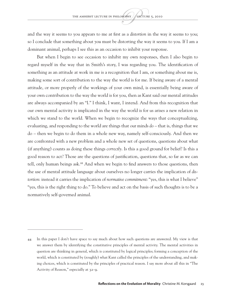and the way it seems to you appears to me at first as a *distortion* in the way it seems to you; so I conclude that something about *you* must be distorting the way it seems to you. If I am a dominant animal, perhaps I see this as an occasion to inhibit your response.

But when I begin to see occasion to inhibit my own responses, then I also begin to regard myself in the way that in Smith's story, I was regarding you. The identification of something as an attitude at work in me is a recognition that I am, or something about me is, making some sort of contribution to the way the world is for me. If being aware of a mental attitude, or more properly of the workings of your own mind, is essentially being aware of your own contribution to the way the world is for you, then as Kant said our mental attitudes are always accompanied by an "I." I think, I want, I intend. And from this recognition that our own mental activity is implicated in the way the world is for us arises a new relation in which we stand to the world. When we begin to recognize the ways that conceptualizing, evaluating, and responding to the world are things that our minds *do* – that is, things that we do – then we begin to do them in a whole new way, namely self-consciously. And then we are confronted with a new problem and a whole new set of questions, questions about what (if anything) counts as doing these things *correctly*. Is this a good ground for belief? Is this a good reason to act? Those are the questions of justification, questions that, so far as we can tell, only human beings ask.<sup>44</sup> And when we begin to find answers to those questions, then the use of mental attitude language about ourselves no longer carries the implication of *distortion*: instead it carries the implication of *normative commitment*: "yes, this is what I believe" "yes, this is the right thing to do." To believe and act on the basis of such thoughts is to be a normatively self-governed animal.

<sup>44</sup> In this paper I don't have space to say much about how such questions are answered. My view is that we answer them by identifying the constitutive principles of mental activity. The mental activities in question are thinking in general, which is constituted by logical principles; forming a conception of the world, which is constituted by (roughly) what Kant called the principles of the understanding, and making choices, which is constituted by the principles of practical reason. I say more about all this in "The Activity of Reason," especially at 32–9.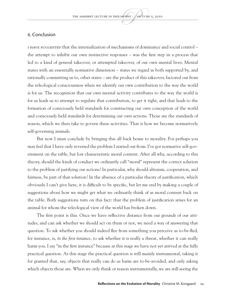#### 6. Conclusion

I have suggested that the internalization of mechanisms of dominance and social control – the attempt to inhibit our own instinctive responses – was the first step in a process that led to a kind of general takeover, or attempted takeover, of our own mental lives. Mental states with an essentially normative dimension – states we regard as both supported by, and rationally committing us to, other states – are the product of this takeover, factored out from the teleological consciousness when we identify our own contribution to the way the world is for us. The recognition that our own mental activity contributes to the way the world is for us leads us to attempt to regulate that contribution, to get it right, and that leads to the formation of consciously held standards for constructing our own conception of the world and consciously held standards for determining our own actions. Those are the standards of reason, which we then take to govern these activities. That is how we become normatively self-governing animals.

But now I must conclude by bringing this all back home to morality. For perhaps you may feel that I have only reversed the problem I started out from: I've got normative self-government on the table, but lost characteristic moral content. After all why, according to this theory, should the kinds of conduct we ordinarily call "moral" represent the correct solution to the problem of justifying our actions? In particular, why should altruism, cooperation, and fairness, be part of that solution? In the absence of a particular theory of justification, which obviously I can't give here, it is difficult to be specific, but let me end by making a couple of suggestions about how we might get what we ordinarily think of as moral content back on the table. Both suggestions turn on this fact: that the problem of justification arises for an animal for whom the teleological view of the world has broken down.

The first point is this. Once we have reflective distance from our grounds of our attitudes, and can ask whether we should act on them or not, we need a way of answering that question. To ask whether you should indeed flee from something you perceive as to-be-fled, for instance, is, *in the first instance*, to ask whether it is really a threat, whether it can really harm you. I say "in the first instance" because at this stage we have not yet arrived at the fully practical question. At this stage the practical question is still mainly instrumental, taking it for granted that, say, objects that really can do us harm are to-be-avoided, and only asking which objects those are. When we only think or reason instrumentally, we are still seeing the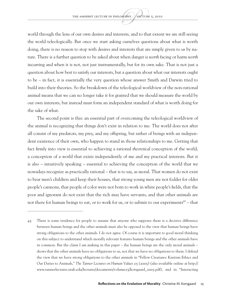world through the lens of our own desires and interests, and to that extent we are still seeing the world teleologically. But once we start asking ourselves questions about what is worth doing, there is no reason to stop with desires and interests that are simply given to us by nature. There is a further question to be asked about when danger is *worth* facing or harm *worth* incurring and when it is not, not just instrumentally, but for its own sake. That is not just a question about how best to satisfy our interests, but a question about what our interests ought to be – in fact, it is essentially the very question whose answer Smith and Darwin tried to build into their theories. So the breakdown of the teleological worldview of the non-rational animal means that we can no longer take it for granted that we should measure the world by our own interests, but instead must form an independent standard of what is worth doing for the sake of what.

The second point is this: an essential part of overcoming the teleological worldview of the animal is recognizing that things don't exist in relation to me. The world does not after all consist of my predators, my prey, and my offspring, but rather of beings with an independent existence of their own, who happen to stand in those relationships to me. Getting that fact firmly into view is essential to achieving a rational *theoretical* conception of the world, a conception of a world that exists independently of me and my practical interests. But it is also – intuitively speaking – essential to achieving the conception of the world that we nowadays recognize as practically rational – that is to say, as moral. That women do not exist to bear men's children and keep their houses, that strong young men are not fodder for older people's cannons, that people of color were not born to work in white people's fields, that the poor and ignorant do not exist that the rich may have servants, and that other animals are not there for human beings to eat, or to work for us, or to submit to our experiments<sup>45</sup> – that

<sup>45</sup> There is some tendency for people to assume that anyone who supposes there is a decisive difference between human beings and the other animals must also be opposed to the view that human beings have strong obligations to the other animals. I do not agree. Of course it is important to good moral thinking on this subject to understand which morally relevant features human beings and the other animals have in common. But the claim I am making in this paper – the human beings are the only moral animals – shows that the other animals have no obligations to us, not that we have no obligations to them. I defend the view that we have strong obligations to the other animals in "Fellow Creatures: Kantian Ethics and Our Duties to Animals," *The Tanner Lectures on Human Values* 25 (2005) (also available online at http:// www.tannerlectures.utah.edu/lectures/documents/volume25/korsgaard\_2005.pdf), and in "Interacting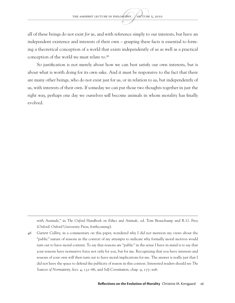all of these beings do not exist *for us*, and with reference simply to our interests, but have an independent existence and interests of their own – grasping these facts is essential to forming a theoretical conception of a world that exists independently of us as well as a practical conception of the world we must relate to.<sup>46</sup>

So justification is not merely about how we can best satisfy our own interests, but is about what is worth doing for its own sake. And it must be responsive to the fact that there are many other beings, who do not exist just for us, or in relation to us, but independently of us, with interests of their own. If someday we can put those two thoughts together in just the right way, perhaps one day we ourselves *will* become animals in whom morality has finally evolved.

with Animals," in *The Oxford Handbook on Ethics and Animals,* ed. Tom Beauchamp and R.G. Frey (Oxford: Oxford University Press, forthcoming).

<sup>46</sup> Garrett Cullity, in a commentary on this paper, wondered why I did not mention my views about the "public" nature of reasons in the context of my attempts to indicate why formally moral motives would turn out to have moral content. To say that reasons are "public" in the sense I have in mind is to say that your reasons have normative force not only for you, but for me. Recognizing that you have interests and reasons of your own will then turn out to have moral implications for me. The answer is really just that I did not have the space to defend the publicity of reason in this context. Interested readers should see *The Sources of Normativity*, lect. 4, 131–66, and *Self-Constitution*, chap. 9, 177–206.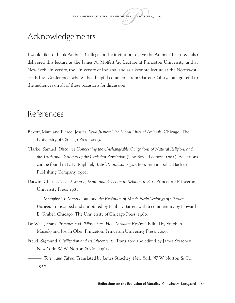## Acknowledgements

I would like to thank Amherst College for the invitation to give the Amherst Lecture. I also delivered this lecture as the James A. Moffett '29 Lecture at Princeton University, and at New York University, the University of Indiana, and as a keynote lecture at the Northwestern Ethics Conference, where I had helpful comments from Garrett Cullity. I am grateful to the audiences on all of these occasions for discussion.

### References

- Bekoff, Marc and Pierce, Jessica. *Wild Justice: The Moral Lives of Animals*. Chicago: The University of Chicago Press, 2009.
- Clarke, Samuel. *Discourse Concerning the Unchangeable Obligations of Natural Religion*, *and the Truth and Certainty of the Christian Revelation* (The Boyle Lectures 1705). Selections can be found in D.D. Raphael, *British Moralists 1650-1800*. Indianapolis: Hackett Publishing Company, 1991.
- Darwin, Charles. *The Descent of Man, and Selection in Relation to Sex.* Princeton: Princeton University Press: 1981.
- ———. *Metaphysics, Materialism, and the Evolution of Mind: Early Writings of Charles Darwin*. Transcribed and annotated by Paul H. Barrett with a commentary by Howard E. Gruber. Chicago: The University of Chicago Press, 1980.
- De Waal, Frans. *Primates and Philosophers*: *How Morality Evolved*. Edited by Stephen Macedo and Josiah Ober. Princeton: Princeton University Press: 2006.
- Freud, Sigmund. *Civilization and Its Discontents*. Translated and edited by James Strachey. New York: W.W. Norton & Co., 1961.

———. *Totem and Taboo*. Translated by James Strachey. New York: W.W. Norton & Co., 1950.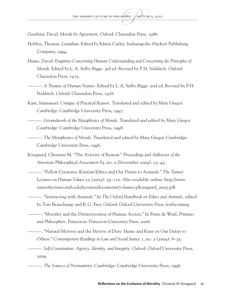Gauthier, David. *Morals by Agreement*. Oxford: Clarendon Press, 1986.

- Hobbes, Thomas. *Leviathan*. Edited by Edwin Curley. Indianapolis: Hackett Publishing Company, 1994.
- Hume, David. *Enquiries Concerning Human Understanding and Concerning the Principles of Morals*. Edited by L.A. Selby-Bigge. 3rd ed. Revised by P.H. Nidditch. Oxford: Clarendon Press, 1975.
- ———. *A Treatise of Human Nature*. Edited by L.A. Selby-Bigge. 2nd ed. Revised by P.H. Nidditch. Oxford: Clarendon Press, 1978.
- Kant, Immanuel. *Critique of Practical Reason.* Translated and edited by Mary Gregor. Cambridge: Cambridge University Press, 1997.
- ———. *Groundwork of the Metaphysics of Morals*. Translated and edited by Mary Gregor. Cambridge: Cambridge University Press, 1998.
	- ———. *The Metaphysics of Morals*. Translated and edited by Mary Gregor. Cambridge: Cambridge University Press, 1996.
- Korsgaard, Christine M. "The Activity of Reason." *Proceedings and Addresses of the American Philosophical Association* 83, no. 2 (November 2009): 23–43.
	- ———. "Fellow Creatures: Kantian Ethics and Our Duties to Animals." *The Tanner Lectures on Human Values* 25 (2005): 79–110. Also available online: http://www. tannerlectures.utah.edu/lectures/documents/volume25/korsgaard\_2005.pdf.
	- ———. "Interacting with Animals." In *The Oxford Handbook on Ethics and Animals,* edited by Tom Beauchamp and R.G. Frey. Oxford: Oxford University Press, forthcoming.
	- ———. "Morality and the Distinctiveness of Human Action." In Frans de Waal, *Primates and Philosophers*. Princeton: Princeton University Press, 2006.
		- ———. "Natural Motives and the Motive of Duty: Hume and Kant on Our Duties to Others." *Contemporary Readings in Law and Social Justice* 1, no. 2 (2009): 8–35.
	- ———. *Self-Constitution: Agency, Identity, and Integrity.* Oxford: Oxford University Press, 2009.
		- ———. *The Sources of Normativity*. Cambridge: Cambridge University Press, 1996.